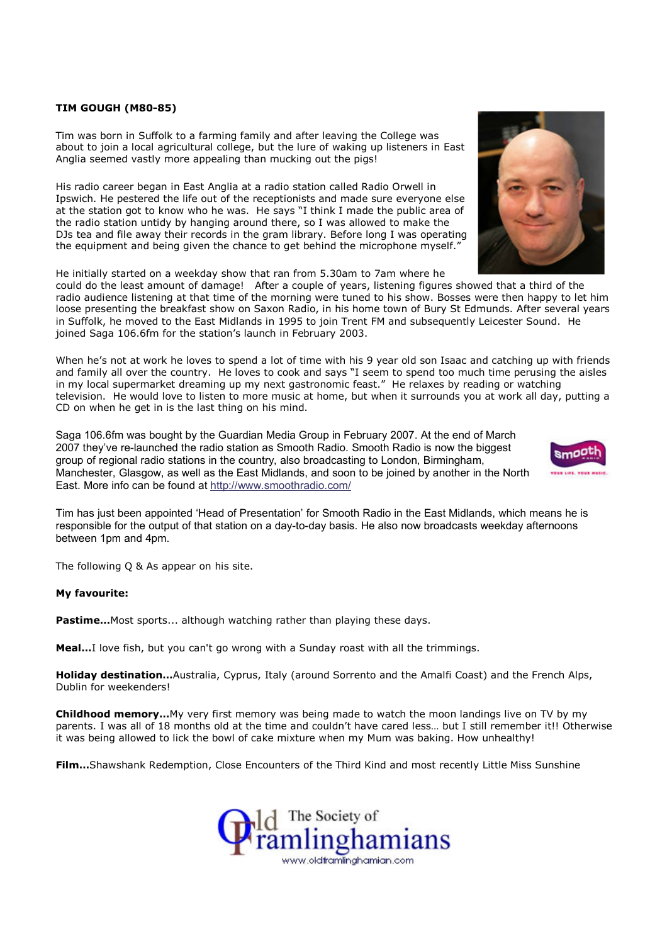## TIM GOUGH (M80-85)

Tim was born in Suffolk to a farming family and after leaving the College was about to join a local agricultural college, but the lure of waking up listeners in East Anglia seemed vastly more appealing than mucking out the pigs!

His radio career began in East Anglia at a radio station called Radio Orwell in Ipswich. He pestered the life out of the receptionists and made sure everyone else at the station got to know who he was. He says "I think I made the public area of the radio station untidy by hanging around there, so I was allowed to make the DJs tea and file away their records in the gram library. Before long I was operating the equipment and being given the chance to get behind the microphone myself."

He initially started on a weekday show that ran from 5.30am to 7am where he

could do the least amount of damage! After a couple of years, listening figures showed that a third of the radio audience listening at that time of the morning were tuned to his show. Bosses were then happy to let him loose presenting the breakfast show on Saxon Radio, in his home town of Bury St Edmunds. After several years in Suffolk, he moved to the East Midlands in 1995 to join Trent FM and subsequently Leicester Sound. He joined Saga 106.6fm for the station's launch in February 2003.

When he's not at work he loves to spend a lot of time with his 9 year old son Isaac and catching up with friends and family all over the country. He loves to cook and says "I seem to spend too much time perusing the aisles in my local supermarket dreaming up my next gastronomic feast." He relaxes by reading or watching television. He would love to listen to more music at home, but when it surrounds you at work all day, putting a CD on when he get in is the last thing on his mind.

Saga 106.6fm was bought by the Guardian Media Group in February 2007. At the end of March 2007 they've re-launched the radio station as Smooth Radio. Smooth Radio is now the biggest group of regional radio stations in the country, also broadcasting to London, Birmingham, Manchester, Glasgow, as well as the East Midlands, and soon to be joined by another in the North East. More info can be found at http://www.smoothradio.com/

Tim has just been appointed 'Head of Presentation' for Smooth Radio in the East Midlands, which means he is responsible for the output of that station on a day-to-day basis. He also now broadcasts weekday afternoons between 1pm and 4pm.

The following Q & As appear on his site.

## My favourite:

Pastime... Most sports... although watching rather than playing these days.

Meal...I love fish, but you can't go wrong with a Sunday roast with all the trimmings.

Holiday destination...Australia, Cyprus, Italy (around Sorrento and the Amalfi Coast) and the French Alps, Dublin for weekenders!

Childhood memory...My very first memory was being made to watch the moon landings live on TV by my parents. I was all of 18 months old at the time and couldn't have cared less… but I still remember it!! Otherwise it was being allowed to lick the bowl of cake mixture when my Mum was baking. How unhealthy!

Film...Shawshank Redemption, Close Encounters of the Third Kind and most recently Little Miss Sunshine